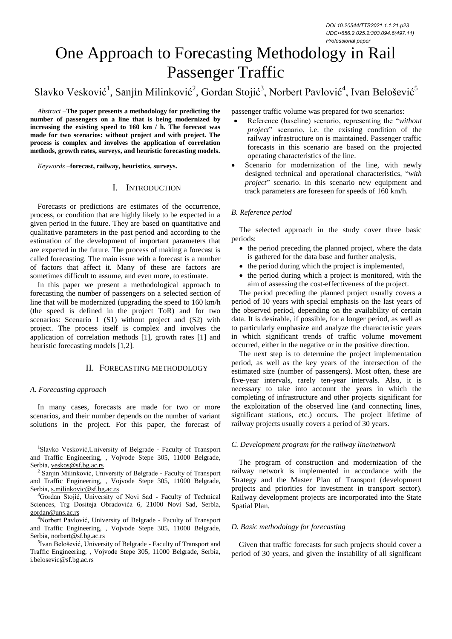# One Approach to Forecasting Methodology in Rail Passenger Traffic

Slavko Vesković<sup>1</sup>, Sanjin Milinković<sup>2</sup>, Gordan Stojić<sup>3</sup>, Norbert Pavlović<sup>4</sup>, Ivan Belošević<sup>5</sup>

*Abstract –***The paper presents a methodology for predicting the number of passengers on a line that is being modernized by increasing the existing speed to 160 km / h. The forecast was made for two scenarios: without project and with project. The process is complex and involves the application of correlation methods, growth rates, surveys, and heuristic forecasting models.**

*Keywords –***forecast, railway, heuristics, surveys.**

## I. INTRODUCTION

Forecasts or predictions are estimates of the occurrence, process, or condition that are highly likely to be expected in a given period in the future. They are based on quantitative and qualitative parameters in the past period and according to the estimation of the development of important parameters that are expected in the future. The process of making a forecast is called forecasting. The main issue with a forecast is a number of factors that affect it. Many of these are factors are sometimes difficult to assume, and even more, to estimate.

In this paper we present a methodological approach to forecasting the number of passengers on a selected section of line that will be modernized (upgrading the speed to 160 km/h (the speed is defined in the project ToR) and for two scenarios: Scenario 1 (S1) without project and (S2) with project. The process itself is complex and involves the application of correlation methods [1], growth rates [1] and heuristic forecasting models [1,2].

# II. FORECASTING METHODOLOGY

### *A. Forecasting approach*

In many cases, forecasts are made for two or more scenarios, and their number depends on the number of variant solutions in the project. For this paper, the forecast of

<sup>1</sup>Slavko Vesković, University of Belgrade - Faculty of Transport and Traffic Engineering, , Vojvode Stepe 305, 11000 Belgrade, Serbia, veskos@sf.bg.ac.rs

2 Sanjin Milinković, University of Belgrade - Faculty of Transport and Traffic Engineering, , Vojvode Stepe 305, 11000 Belgrade, Serbia, s.milinkovic@sf.bg.ac.rs

<sup>3</sup>Gordan Stojić, University of Novi Sad - Faculty of Technical Sciences, Trg Dositeja Obradovića 6, 21000 Novi Sad, Serbia, gordan@uns.ac.rs

<sup>4</sup>Norbert Pavlović, University of Belgrade - Faculty of Transport and Traffic Engineering, , Vojvode Stepe 305, 11000 Belgrade, Serbia, norbert@sf.bg.ac.rs

5 Ivan Belošević, University of Belgrade - Faculty of Transport and Traffic Engineering, , Vojvode Stepe 305, 11000 Belgrade, Serbia, i.belosevic@sf.bg.ac.rs

passenger traffic volume was prepared for two scenarios:

- Reference (baseline) scenario, representing the "*without project*" scenario, i.e. the existing condition of the railway infrastructure on is maintained. Passenger traffic forecasts in this scenario are based on the projected operating characteristics of the line.
- Scenario for modernization of the line, with newly designed technical and operational characteristics, "*with project*" scenario. In this scenario new equipment and track parameters are foreseen for speeds of 160 km/h.

## *B. Reference period*

The selected approach in the study cover three basic periods:

- the period preceding the planned project, where the data is gathered for the data base and further analysis,
- $\bullet$  the period during which the project is implemented,
- the period during which a project is monitored, with the aim of assessing the cost-effectiveness of the project.

The period preceding the planned project usually covers a period of 10 years with special emphasis on the last years of the observed period, depending on the availability of certain data. It is desirable, if possible, for a longer period, as well as to particularly emphasize and analyze the characteristic years in which significant trends of traffic volume movement occurred, either in the negative or in the positive direction.

The next step is to determine the project implementation period, as well as the key years of the intersection of the estimated size (number of passengers). Most often, these are five-year intervals, rarely ten-year intervals. Also, it is necessary to take into account the years in which the completing of infrastructure and other projects significant for the exploitation of the observed line (and connecting lines, significant stations, etc.) occurs. The project lifetime of railway projects usually covers a period of 30 years.

### *C. Development program for the railway line/network*

The program of construction and modernization of the railway network is implemented in accordance with the Strategy and the Master Plan of Transport (development projects and priorities for investment in transport sector). Railway development projects are incorporated into the State Spatial Plan.

## *D. Basic methodology for forecasting*

Given that traffic forecasts for such projects should cover a period of 30 years, and given the instability of all significant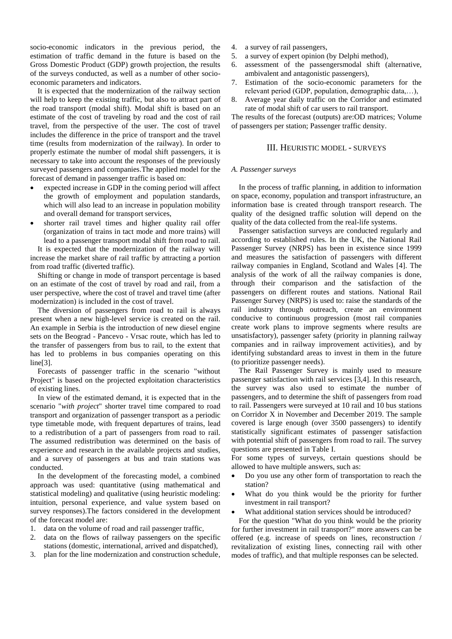socio-economic indicators in the previous period, the estimation of traffic demand in the future is based on the Gross Domestic Product (GDP) growth projection, the results of the surveys conducted, as well as a number of other socioeconomic parameters and indicators.

It is expected that the modernization of the railway section will help to keep the existing traffic, but also to attract part of the road transport (modal shift). Modal shift is based on an estimate of the cost of traveling by road and the cost of rail travel, from the perspective of the user. The cost of travel includes the difference in the price of transport and the travel time (results from modernization of the railway). In order to properly estimate the number of modal shift passengers, it is necessary to take into account the responses of the previously surveyed passengers and companies.The applied model for the forecast of demand in passenger traffic is based on:

- expected increase in GDP in the coming period will affect the growth of employment and population standards, which will also lead to an increase in population mobility and overall demand for transport services,
- shorter rail travel times and higher quality rail offer (organization of trains in tact mode and more trains) will lead to a passenger transport modal shift from road to rail.

It is expected that the modernization of the railway will increase the market share of rail traffic by attracting a portion from road traffic (diverted traffic).

Shifting or change in mode of transport percentage is based on an estimate of the cost of travel by road and rail, from a user perspective, where the cost of travel and travel time (after modernization) is included in the cost of travel.

The diversion of passengers from road to rail is always present when a new high-level service is created on the rail. An example in Serbia is the introduction of new diesel engine sets on the Beograd - Pancevo - Vrsac route, which has led to the transfer of passengers from bus to rail, to the extent that has led to problems in bus companies operating on this line[3].

Forecasts of passenger traffic in the scenario "without Project" is based on the projected exploitation characteristics of existing lines.

In view of the estimated demand, it is expected that in the scenario "*with project*" shorter travel time compared to road transport and organization of passenger transport as a periodic type timetable mode, with frequent departures of trains, lead to a redistribution of a part of passengers from road to rail. The assumed redistribution was determined on the basis of experience and research in the available projects and studies, and a survey of passengers at bus and train stations was conducted.

In the development of the forecasting model, a combined approach was used: quantitative (using mathematical and statistical modeling) and qualitative (using heuristic modeling: intuition, personal experience, and value system based on survey responses).The factors considered in the development of the forecast model are:

- 1. data on the volume of road and rail passenger traffic,
- 2. data on the flows of railway passengers on the specific stations (domestic, international, arrived and dispatched),
- 3. plan for the line modernization and construction schedule,
- 4. a survey of rail passengers,
- 5. a survey of expert opinion (by Delphi method),
- 6. assessment of the passengersmodal shift (alternative, ambivalent and antagonistic passengers),
- 7. Estimation of the socio-economic parameters for the relevant period (GDP, population, demographic data,…),
- 8. Average year daily traffic on the Corridor and estimated rate of modal shift of car users to rail transport.

The results of the forecast (outputs) are:OD matrices; Volume of passengers per station; Passenger traffic density.

### III. HEURISTIC MODEL - SURVEYS

#### *A. Passenger surveys*

In the process of traffic planning, in addition to information on space, economy, population and transport infrastructure, an information base is created through transport research. The quality of the designed traffic solution will depend on the quality of the data collected from the real-life systems.

Passenger satisfaction surveys are conducted regularly and according to established rules. In the UK, the National Rail Passenger Survey (NRPS) has been in existence since 1999 and measures the satisfaction of passengers with different railway companies in England, Scotland and Wales [4]. The analysis of the work of all the railway companies is done, through their comparison and the satisfaction of the passengers on different routes and stations. National Rail Passenger Survey (NRPS) is used to: raise the standards of the rail industry through outreach, create an environment conducive to continuous progression (most rail companies create work plans to improve segments where results are unsatisfactory), passenger safety (priority in planning railway companies and in railway improvement activities), and by identifying substandard areas to invest in them in the future (to prioritize passenger needs).

The Rail Passenger Survey is mainly used to measure passenger satisfaction with rail services [3,4]. In this research, the survey was also used to estimate the number of passengers, and to determine the shift of passengers from road to rail. Passengers were surveyed at 10 rail and 10 bus stations on Corridor X in November and December 2019. The sample covered is large enough (over 3500 passengers) to identify statistically significant estimates of passenger satisfaction with potential shift of passengers from road to rail. The survey questions are presented in Table I.

For some types of surveys, certain questions should be allowed to have multiple answers, such as:

- Do you use any other form of transportation to reach the station?
- What do you think would be the priority for further investment in rail transport?
- What additional station services should be introduced?

For the question "What do you think would be the priority for further investment in rail transport?" more answers can be offered (e.g. increase of speeds on lines, reconstruction / revitalization of existing lines, connecting rail with other modes of traffic), and that multiple responses can be selected.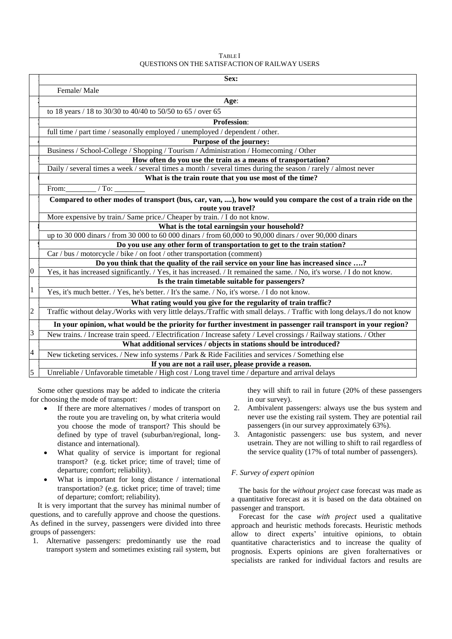| <b>TABLE</b> I                                        |
|-------------------------------------------------------|
| <b>OUESTIONS ON THE SATISFACTION OF RAILWAY USERS</b> |

|                | Sex:                                                                                                                     |
|----------------|--------------------------------------------------------------------------------------------------------------------------|
|                | Female/Male                                                                                                              |
|                | Age:                                                                                                                     |
|                | to 18 years / 18 to 30/30 to 40/40 to 50/50 to 65 / over 65                                                              |
|                | <b>Profession:</b>                                                                                                       |
|                | full time / part time / seasonally employed / unemployed / dependent / other.                                            |
|                | Purpose of the journey:                                                                                                  |
|                | Business / School-College / Shopping / Tourism / Administration / Homecoming / Other                                     |
|                | How often do you use the train as a means of transportation?                                                             |
|                | Daily / several times a week / several times a month / several times during the season / rarely / almost never           |
|                | What is the train route that you use most of the time?                                                                   |
|                | From: $/$ To:                                                                                                            |
|                | Compared to other modes of transport (bus, car, van, ), how would you compare the cost of a train ride on the            |
|                | route you travel?                                                                                                        |
|                | More expensive by train./ Same price./ Cheaper by train. / I do not know.                                                |
|                | What is the total earningsin your household?                                                                             |
|                | up to 30 000 dinars / from 30 000 to 60 000 dinars / from 60,000 to 90,000 dinars / over 90,000 dinars                   |
|                | Do you use any other form of transportation to get to the train station?                                                 |
|                | Car / bus / motorcycle / bike / on foot / other transportation (comment)                                                 |
|                | Do you think that the quality of the rail service on your line has increased since ?                                     |
| $\overline{0}$ | Yes, it has increased significantly. / Yes, it has increased. / It remained the same. / No, it's worse. / I do not know. |
|                | Is the train timetable suitable for passengers?                                                                          |
| $\mathbf{1}$   | Yes, it's much better. / Yes, he's better. / It's the same. / No, it's worse. / I do not know.                           |
|                | What rating would you give for the regularity of train traffic?                                                          |
| $\overline{c}$ | Traffic without delay./Works with very little delays./Traffic with small delays./Traffic with long delays./I do not know |
|                | In your opinion, what would be the priority for further investment in passenger rail transport in your region?           |
| 3              | New trains. / Increase train speed. / Electrification / Increase safety / Level crossings / Railway stations. / Other    |
|                | What additional services / objects in stations should be introduced?                                                     |
| $\overline{4}$ | New ticketing services. / New info systems / Park & Ride Facilities and services / Something else                        |
|                | If you are not a rail user, please provide a reason.                                                                     |
| 5              | Unreliable / Unfavorable timetable / High cost / Long travel time / departure and arrival delays                         |

Some other questions may be added to indicate the criteria for choosing the mode of transport:

- If there are more alternatives / modes of transport on the route you are traveling on, by what criteria would you choose the mode of transport? This should be defined by type of travel (suburban/regional, longdistance and international).
- What quality of service is important for regional transport? (e.g. ticket price; time of travel; time of departure; comfort; reliability).
- What is important for long distance / international transportation? (e.g. ticket price; time of travel; time of departure; comfort; reliability).

It is very important that the survey has minimal number of questions, and to carefully approve and choose the questions. As defined in the survey, passengers were divided into three groups of passengers:

1. Alternative passengers: predominantly use the road transport system and sometimes existing rail system, but they will shift to rail in future (20% of these passengers in our survey).

- 2. Ambivalent passengers: always use the bus system and never use the existing rail system. They are potential rail passengers (in our survey approximately 63%).
- 3. Antagonistic passengers: use bus system, and never usetrain. They are not willing to shift to rail regardless of the service quality (17% of total number of passengers).

# *F. Survey of expert opinion*

The basis for the *without project* case forecast was made as a quantitative forecast as it is based on the data obtained on passenger and transport.

Forecast for the case *with project* used a qualitative approach and heuristic methods forecasts. Heuristic methods allow to direct experts' intuitive opinions, to obtain quantitative characteristics and to increase the quality of prognosis. Experts opinions are given foralternatives or specialists are ranked for individual factors and results are